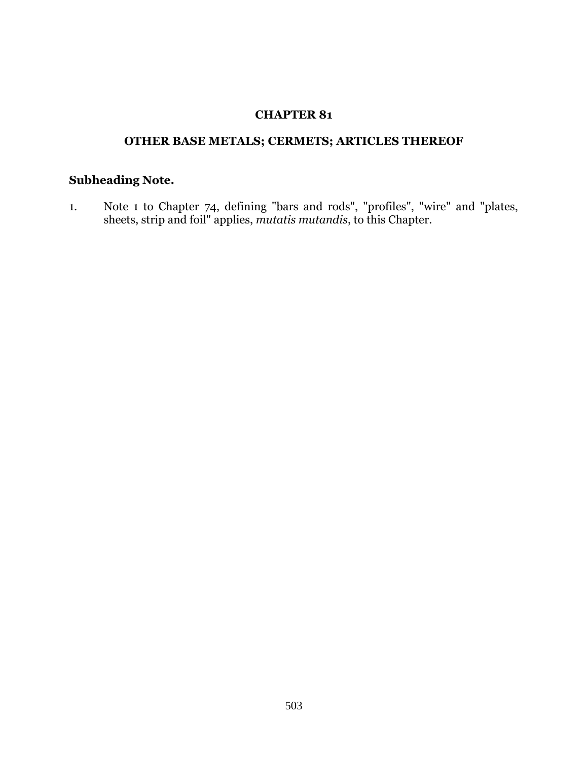## **CHAPTER 81**

## **OTHER BASE METALS; CERMETS; ARTICLES THEREOF**

## **Subheading Note.**

1. Note 1 to Chapter 74, defining "bars and rods", "profiles", "wire" and "plates, sheets, strip and foil" applies, *mutatis mutandis*, to this Chapter.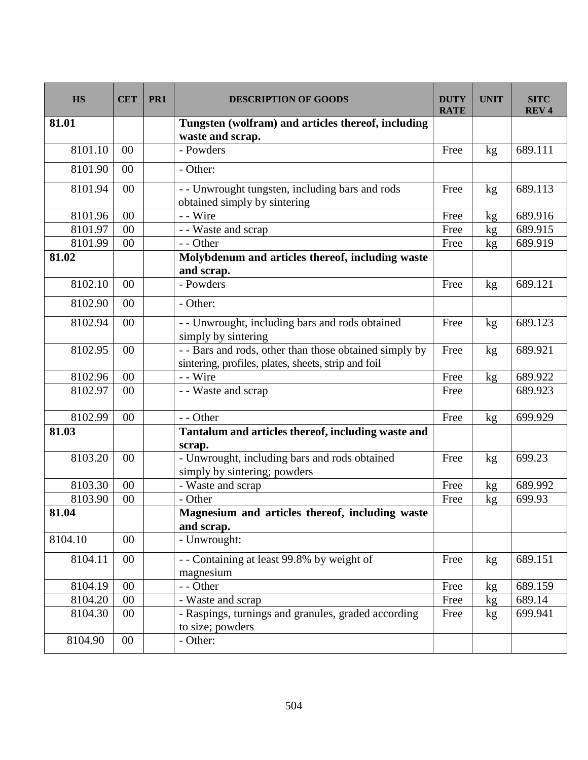| <b>HS</b> | <b>CET</b> | PR1 | <b>DESCRIPTION OF GOODS</b>                                                                                   | <b>DUTY</b><br><b>RATE</b> | <b>UNIT</b>     | <b>SITC</b><br><b>REV4</b> |
|-----------|------------|-----|---------------------------------------------------------------------------------------------------------------|----------------------------|-----------------|----------------------------|
| 81.01     |            |     | Tungsten (wolfram) and articles thereof, including<br>waste and scrap.                                        |                            |                 |                            |
| 8101.10   | $00\,$     |     | - Powders                                                                                                     | Free                       | kg              | 689.111                    |
| 8101.90   | $00\,$     |     | - Other:                                                                                                      |                            |                 |                            |
| 8101.94   | $00\,$     |     | - - Unwrought tungsten, including bars and rods<br>obtained simply by sintering                               | Free                       | kg              | 689.113                    |
| 8101.96   | $00\,$     |     | - - Wire                                                                                                      | Free                       | kg              | 689.916                    |
| 8101.97   | $00\,$     |     | - - Waste and scrap                                                                                           | Free                       | kg <sub>2</sub> | 689.915                    |
| 8101.99   | 00         |     | - - Other                                                                                                     | Free                       | kg              | 689.919                    |
| 81.02     |            |     | Molybdenum and articles thereof, including waste<br>and scrap.                                                |                            |                 |                            |
| 8102.10   | $00\,$     |     | - Powders                                                                                                     | Free                       | kg              | 689.121                    |
| 8102.90   | $00\,$     |     | - Other:                                                                                                      |                            |                 |                            |
| 8102.94   | $00\,$     |     | - - Unwrought, including bars and rods obtained<br>simply by sintering                                        | Free                       | kg              | 689.123                    |
| 8102.95   | $00\,$     |     | - - Bars and rods, other than those obtained simply by<br>sintering, profiles, plates, sheets, strip and foil | Free                       | kg              | 689.921                    |
| 8102.96   | $00\,$     |     | - - Wire                                                                                                      | Free                       | kg              | 689.922                    |
| 8102.97   | $00\,$     |     | - - Waste and scrap                                                                                           | Free                       |                 | 689.923                    |
| 8102.99   | $00\,$     |     | - - Other                                                                                                     | Free                       | kg              | 699.929                    |
| 81.03     |            |     | Tantalum and articles thereof, including waste and<br>scrap.                                                  |                            |                 |                            |
| 8103.20   | $00\,$     |     | - Unwrought, including bars and rods obtained<br>simply by sintering; powders                                 | Free                       | kg              | 699.23                     |
| 8103.30   | 00         |     | - Waste and scrap                                                                                             | Free                       | kg              | 689.992                    |
| 8103.90   | $00\,$     |     | - Other                                                                                                       | Free                       | kg              | 699.93                     |
| 81.04     |            |     | Magnesium and articles thereof, including waste<br>and scrap.                                                 |                            |                 |                            |
| 8104.10   | $00\,$     |     | - Unwrought:                                                                                                  |                            |                 |                            |
| 8104.11   | $00\,$     |     | - - Containing at least 99.8% by weight of<br>magnesium                                                       | Free                       | kg              | 689.151                    |
| 8104.19   | $00\,$     |     | - - Other                                                                                                     | Free                       | kg              | 689.159                    |
| 8104.20   | $00\,$     |     | - Waste and scrap                                                                                             | Free                       | kg              | 689.14                     |
| 8104.30   | $00\,$     |     | - Raspings, turnings and granules, graded according<br>to size; powders                                       | Free                       | kg              | 699.941                    |
| 8104.90   | $00\,$     |     | - Other:                                                                                                      |                            |                 |                            |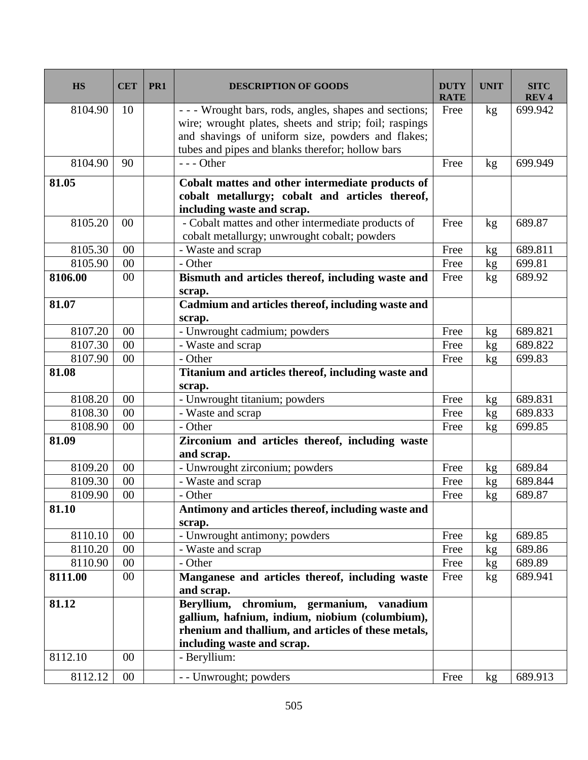| <b>HS</b> | <b>CET</b> | PR1 | <b>DESCRIPTION OF GOODS</b>                                                                                                       | <b>DUTY</b><br><b>RATE</b> | <b>UNIT</b>   | <b>SITC</b><br><b>REV4</b> |
|-----------|------------|-----|-----------------------------------------------------------------------------------------------------------------------------------|----------------------------|---------------|----------------------------|
| 8104.90   | 10         |     | - - - Wrought bars, rods, angles, shapes and sections;                                                                            | Free                       | kg            | 699.942                    |
|           |            |     | wire; wrought plates, sheets and strip; foil; raspings                                                                            |                            |               |                            |
|           |            |     | and shavings of uniform size, powders and flakes;                                                                                 |                            |               |                            |
| 8104.90   | 90         |     | tubes and pipes and blanks therefor; hollow bars<br>$--$ Other                                                                    | Free                       |               | 699.949                    |
|           |            |     |                                                                                                                                   |                            | kg            |                            |
| 81.05     |            |     | Cobalt mattes and other intermediate products of<br>cobalt metallurgy; cobalt and articles thereof,<br>including waste and scrap. |                            |               |                            |
| 8105.20   | $00\,$     |     | - Cobalt mattes and other intermediate products of                                                                                | Free                       | kg            | 689.87                     |
|           |            |     | cobalt metallurgy; unwrought cobalt; powders                                                                                      |                            |               |                            |
| 8105.30   | 00         |     | - Waste and scrap                                                                                                                 | Free                       | kg            | 689.811                    |
| 8105.90   | 00         |     | - Other                                                                                                                           | Free                       | kg            | 699.81                     |
| 8106.00   | 00         |     | Bismuth and articles thereof, including waste and<br>scrap.                                                                       | Free                       | kg            | 689.92                     |
| 81.07     |            |     | Cadmium and articles thereof, including waste and<br>scrap.                                                                       |                            |               |                            |
| 8107.20   | 00         |     | - Unwrought cadmium; powders                                                                                                      | Free                       | kg            | 689.821                    |
| 8107.30   | 00         |     | - Waste and scrap                                                                                                                 | Free                       | kg            | 689.822                    |
| 8107.90   | 00         |     | - Other                                                                                                                           | Free                       | kg            | 699.83                     |
| 81.08     |            |     | Titanium and articles thereof, including waste and<br>scrap.                                                                      |                            |               |                            |
| 8108.20   | 00         |     | - Unwrought titanium; powders                                                                                                     | Free                       | $\mathbf{kg}$ | 689.831                    |
| 8108.30   | 00         |     | - Waste and scrap                                                                                                                 | Free                       | kg            | 689.833                    |
| 8108.90   | 00         |     | - Other                                                                                                                           | Free                       | kg            | 699.85                     |
| 81.09     |            |     | Zirconium and articles thereof, including waste                                                                                   |                            |               |                            |
|           |            |     | and scrap.                                                                                                                        |                            |               |                            |
| 8109.20   | 00         |     | - Unwrought zirconium; powders                                                                                                    | Free                       | kg            | 689.84                     |
| 8109.30   | 00         |     | - Waste and scrap                                                                                                                 | Free                       | kg            | 689.844                    |
| 8109.90   | 00         |     | - Other                                                                                                                           | Free                       | kg            | 689.87                     |
| 81.10     |            |     | Antimony and articles thereof, including waste and<br>scrap.                                                                      |                            |               |                            |
| 8110.10   | 00         |     | - Unwrought antimony; powders                                                                                                     | Free                       | kg            | 689.85                     |
| 8110.20   | 00         |     | - Waste and scrap                                                                                                                 | Free                       | kg            | 689.86                     |
| 8110.90   | 00         |     | - Other                                                                                                                           | Free                       | kg            | 689.89                     |
| 8111.00   | $00\,$     |     | Manganese and articles thereof, including waste                                                                                   | Free                       | kg            | 689.941                    |
|           |            |     | and scrap.                                                                                                                        |                            |               |                            |
| 81.12     |            |     | Beryllium,<br>chromium, germanium, vanadium                                                                                       |                            |               |                            |
|           |            |     | gallium, hafnium, indium, niobium (columbium),                                                                                    |                            |               |                            |
|           |            |     | rhenium and thallium, and articles of these metals,                                                                               |                            |               |                            |
|           |            |     | including waste and scrap.                                                                                                        |                            |               |                            |
| 8112.10   | 00         |     | - Beryllium:                                                                                                                      |                            |               |                            |
| 8112.12   | $00\,$     |     | - - Unwrought; powders                                                                                                            | Free                       | kg            | 689.913                    |